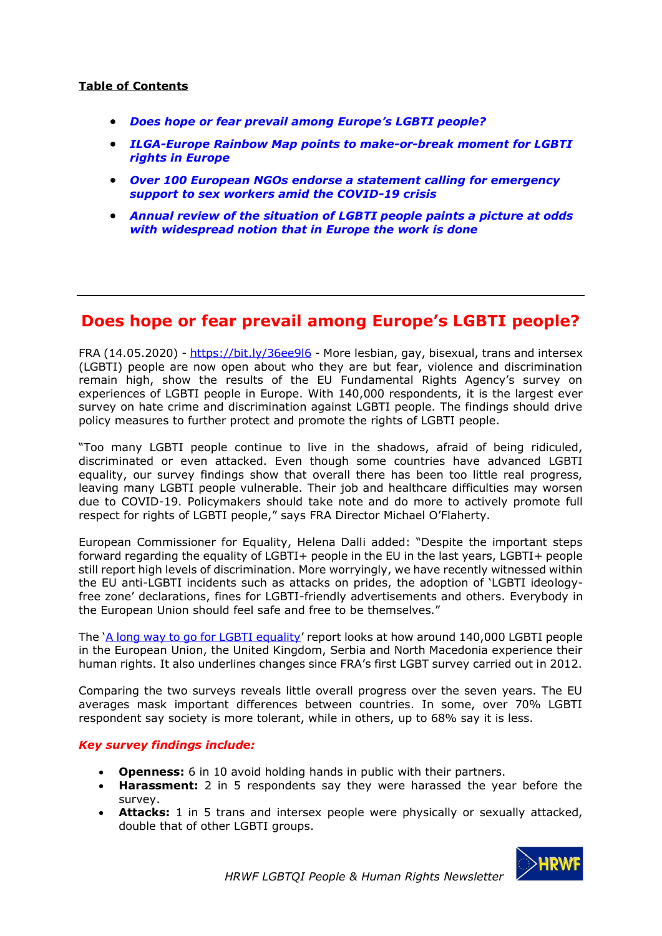### **Table of Contents**

- *[Does hope or fear prevail among Europe's LGBTI people?](#page-0-0)*
- *[ILGA-Europe Rainbow Map points to make-or-break moment for LGBTI](#page-1-0)  [rights in Europe](#page-1-0)*
- *[Over 100 European NGOs endorse a statement calling for emergency](#page-4-0)  [support to sex workers amid the COVID-19 crisis](#page-4-0)*
- *[Annual review of the situation of LGBTI people paints a picture at odds](#page-5-0)  [with widespread notion that in Europe the work is done](#page-5-0)*

## <span id="page-0-0"></span>**Does hope or fear prevail among Europe's LGBTI people?**

FRA (14.05.2020) - <https://bit.ly/36ee9l6> - More lesbian, gay, bisexual, trans and intersex (LGBTI) people are now open about who they are but fear, violence and discrimination remain high, show the results of the EU Fundamental Rights Agency's survey on experiences of LGBTI people in Europe. With 140,000 respondents, it is the largest ever survey on hate crime and discrimination against LGBTI people. The findings should drive policy measures to further protect and promote the rights of LGBTI people.

"Too many LGBTI people continue to live in the shadows, afraid of being ridiculed, discriminated or even attacked. Even though some countries have advanced LGBTI equality, our survey findings show that overall there has been too little real progress, leaving many LGBTI people vulnerable. Their job and healthcare difficulties may worsen due to COVID-19. Policymakers should take note and do more to actively promote full respect for rights of LGBTI people," says FRA Director Michael O'Flaherty.

European Commissioner for Equality, Helena Dalli added: "Despite the important steps forward regarding the equality of LGBTI+ people in the EU in the last years, LGBTI+ people still report high levels of discrimination. More worryingly, we have recently witnessed within the EU anti-LGBTI incidents such as attacks on prides, the adoption of 'LGBTI ideologyfree zone' declarations, fines for LGBTI-friendly advertisements and others. Everybody in the European Union should feel safe and free to be themselves."

The '[A long way to go for LGBTI equality](https://fra.europa.eu/en/publication/2020/eu-lgbti-survey-results)' report looks at how around 140,000 LGBTI people in the European Union, the United Kingdom, Serbia and North Macedonia experience their human rights. It also underlines changes since FRA's first LGBT survey carried out in 2012.

Comparing the two surveys reveals little overall progress over the seven years. The EU averages mask important differences between countries. In some, over 70% LGBTI respondent say society is more tolerant, while in others, up to 68% say it is less.

#### *Key survey findings include:*

- **Openness:** 6 in 10 avoid holding hands in public with their partners.
- **Harassment:** 2 in 5 respondents say they were harassed the year before the survey.
- **Attacks:** 1 in 5 trans and intersex people were physically or sexually attacked, double that of other LGBTI groups.

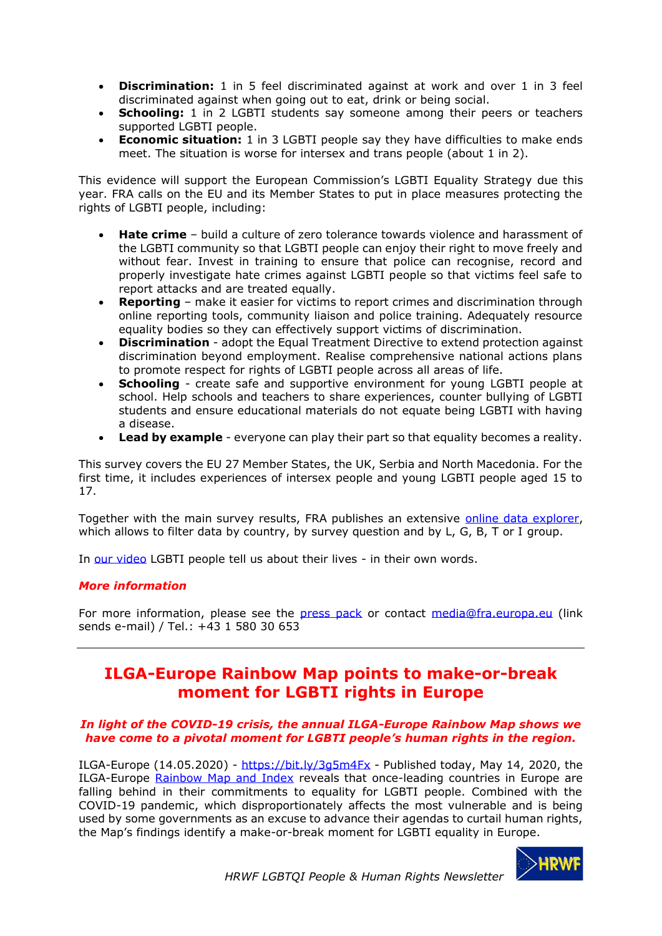- **Discrimination:** 1 in 5 feel discriminated against at work and over 1 in 3 feel discriminated against when going out to eat, drink or being social.
- **Schooling:** 1 in 2 LGBTI students say someone among their peers or teachers supported LGBTI people.
- **Economic situation:** 1 in 3 LGBTI people say they have difficulties to make ends meet. The situation is worse for intersex and trans people (about 1 in 2).

This evidence will support the European Commission's LGBTI Equality Strategy due this year. FRA calls on the EU and its Member States to put in place measures protecting the rights of LGBTI people, including:

- **Hate crime** build a culture of zero tolerance towards violence and harassment of the LGBTI community so that LGBTI people can enjoy their right to move freely and without fear. Invest in training to ensure that police can recognise, record and properly investigate hate crimes against LGBTI people so that victims feel safe to report attacks and are treated equally.
- **Reporting** make it easier for victims to report crimes and discrimination through online reporting tools, community liaison and police training. Adequately resource equality bodies so they can effectively support victims of discrimination.
- **Discrimination** adopt the Equal Treatment Directive to extend protection against discrimination beyond employment. Realise comprehensive national actions plans to promote respect for rights of LGBTI people across all areas of life.
- **Schooling** create safe and supportive environment for young LGBTI people at school. Help schools and teachers to share experiences, counter bullying of LGBTI students and ensure educational materials do not equate being LGBTI with having a disease.
- **Lead by example** everyone can play their part so that equality becomes a reality.

This survey covers the EU 27 Member States, the UK, Serbia and North Macedonia. For the first time, it includes experiences of intersex people and young LGBTI people aged 15 to 17.

Together with the main survey results, FRA publishes an extensive [online data explorer,](https://fra.europa.eu/en/data-and-maps/2020/lgbti-survey-data-explorer) which allows to filter data by country, by survey question and by L, G, B, T or I group.

In [our video](https://www.youtube.com/watch?v=i3LFbyG_Mbg&feature=emb_logo) LGBTI people tell us about their lives - in their own words.

### *More information*

For more information, please see the [press pack](https://fra.europa.eu/en/media/press-packs/eu-lgbti-survey) or contact [media@fra.europa.eu](mailto:media@fra.europa.eu) (link sends e-mail) / Tel.: +43 1 580 30 653

# <span id="page-1-0"></span>**ILGA-Europe Rainbow Map points to make-or-break moment for LGBTI rights in Europe**

#### *In light of the COVID-19 crisis, the annual ILGA-Europe Rainbow Map shows we have come to a pivotal moment for LGBTI people's human rights in the region.*

ILGA-Europe  $(14.05.2020)$  - <https://bit.ly/3g5m4Fx> - Published today, May 14, 2020, the ILGA-Europe [Rainbow Map and Index](https://rainbow-europe.org/) reveals that once-leading countries in Europe are falling behind in their commitments to equality for LGBTI people. Combined with the COVID-19 pandemic, which disproportionately affects the most vulnerable and is being used by some governments as an excuse to advance their agendas to curtail human rights, the Map's findings identify a make-or-break moment for LGBTI equality in Europe.

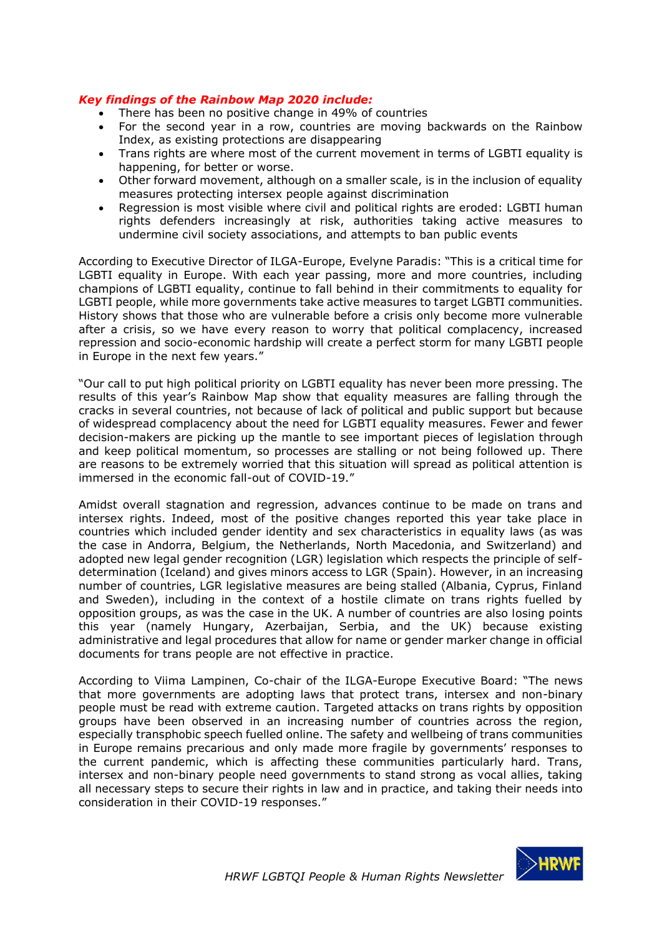### *Key findings of the Rainbow Map 2020 include:*

- There has been no positive change in 49% of countries
- For the second year in a row, countries are moving backwards on the Rainbow Index, as existing protections are disappearing
- Trans rights are where most of the current movement in terms of LGBTI equality is happening, for better or worse.
- Other forward movement, although on a smaller scale, is in the inclusion of equality measures protecting intersex people against discrimination
- Regression is most visible where civil and political rights are eroded: LGBTI human rights defenders increasingly at risk, authorities taking active measures to undermine civil society associations, and attempts to ban public events

According to Executive Director of ILGA-Europe, Evelyne Paradis: "This is a critical time for LGBTI equality in Europe. With each year passing, more and more countries, including champions of LGBTI equality, continue to fall behind in their commitments to equality for LGBTI people, while more governments take active measures to target LGBTI communities. History shows that those who are vulnerable before a crisis only become more vulnerable after a crisis, so we have every reason to worry that political complacency, increased repression and socio-economic hardship will create a perfect storm for many LGBTI people in Europe in the next few years."

"Our call to put high political priority on LGBTI equality has never been more pressing. The results of this year's Rainbow Map show that equality measures are falling through the cracks in several countries, not because of lack of political and public support but because of widespread complacency about the need for LGBTI equality measures. Fewer and fewer decision-makers are picking up the mantle to see important pieces of legislation through and keep political momentum, so processes are stalling or not being followed up. There are reasons to be extremely worried that this situation will spread as political attention is immersed in the economic fall-out of COVID-19."

Amidst overall stagnation and regression, advances continue to be made on trans and intersex rights. Indeed, most of the positive changes reported this year take place in countries which included gender identity and sex characteristics in equality laws (as was the case in Andorra, Belgium, the Netherlands, North Macedonia, and Switzerland) and adopted new legal gender recognition (LGR) legislation which respects the principle of selfdetermination (Iceland) and gives minors access to LGR (Spain). However, in an increasing number of countries, LGR legislative measures are being stalled (Albania, Cyprus, Finland and Sweden), including in the context of a hostile climate on trans rights fuelled by opposition groups, as was the case in the UK. A number of countries are also losing points this year (namely Hungary, Azerbaijan, Serbia, and the UK) because existing administrative and legal procedures that allow for name or gender marker change in official documents for trans people are not effective in practice.

According to Viima Lampinen, Co-chair of the ILGA-Europe Executive Board: "The news that more governments are adopting laws that protect trans, intersex and non-binary people must be read with extreme caution. Targeted attacks on trans rights by opposition groups have been observed in an increasing number of countries across the region, especially transphobic speech fuelled online. The safety and wellbeing of trans communities in Europe remains precarious and only made more fragile by governments' responses to the current pandemic, which is affecting these communities particularly hard. Trans, intersex and non-binary people need governments to stand strong as vocal allies, taking all necessary steps to secure their rights in law and in practice, and taking their needs into consideration in their COVID-19 responses."

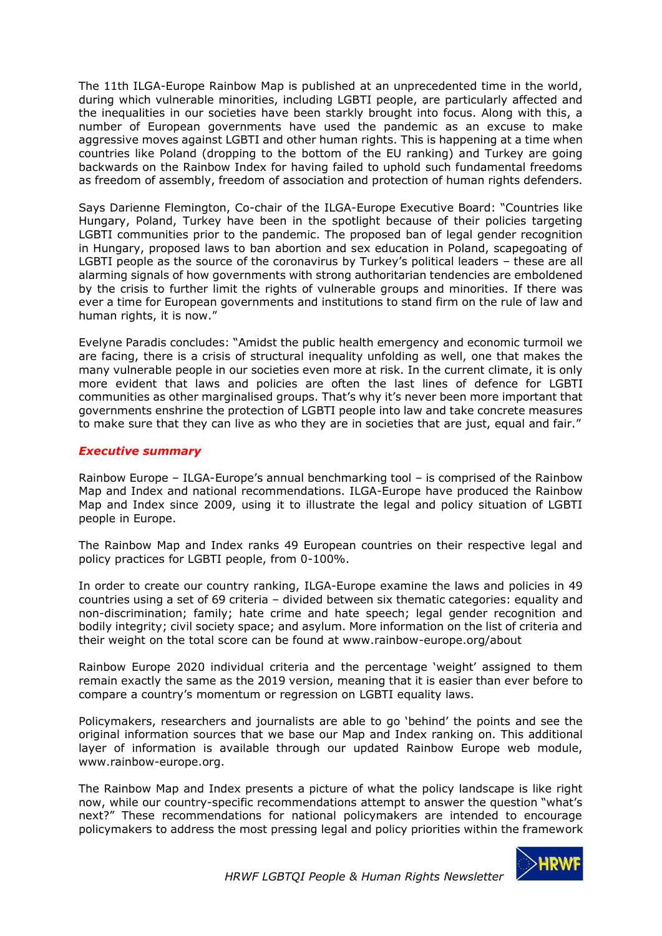The 11th ILGA-Europe Rainbow Map is published at an unprecedented time in the world, during which vulnerable minorities, including LGBTI people, are particularly affected and the inequalities in our societies have been starkly brought into focus. Along with this, a number of European governments have used the pandemic as an excuse to make aggressive moves against LGBTI and other human rights. This is happening at a time when countries like Poland (dropping to the bottom of the EU ranking) and Turkey are going backwards on the Rainbow Index for having failed to uphold such fundamental freedoms as freedom of assembly, freedom of association and protection of human rights defenders.

Says Darienne Flemington, Co-chair of the ILGA-Europe Executive Board: "Countries like Hungary, Poland, Turkey have been in the spotlight because of their policies targeting LGBTI communities prior to the pandemic. The proposed ban of legal gender recognition in Hungary, proposed laws to ban abortion and sex education in Poland, scapegoating of LGBTI people as the source of the coronavirus by Turkey's political leaders – these are all alarming signals of how governments with strong authoritarian tendencies are emboldened by the crisis to further limit the rights of vulnerable groups and minorities. If there was ever a time for European governments and institutions to stand firm on the rule of law and human rights, it is now."

Evelyne Paradis concludes: "Amidst the public health emergency and economic turmoil we are facing, there is a crisis of structural inequality unfolding as well, one that makes the many vulnerable people in our societies even more at risk. In the current climate, it is only more evident that laws and policies are often the last lines of defence for LGBTI communities as other marginalised groups. That's why it's never been more important that governments enshrine the protection of LGBTI people into law and take concrete measures to make sure that they can live as who they are in societies that are just, equal and fair."

### *Executive summary*

Rainbow Europe – ILGA-Europe's annual benchmarking tool – is comprised of the Rainbow Map and Index and national recommendations. ILGA-Europe have produced the Rainbow Map and Index since 2009, using it to illustrate the legal and policy situation of LGBTI people in Europe.

The Rainbow Map and Index ranks 49 European countries on their respective legal and policy practices for LGBTI people, from 0-100%.

In order to create our country ranking, ILGA-Europe examine the laws and policies in 49 countries using a set of 69 criteria – divided between six thematic categories: equality and non-discrimination; family; hate crime and hate speech; legal gender recognition and bodily integrity; civil society space; and asylum. More information on the list of criteria and their weight on the total score can be found at www.rainbow-europe.org/about

Rainbow Europe 2020 individual criteria and the percentage 'weight' assigned to them remain exactly the same as the 2019 version, meaning that it is easier than ever before to compare a country's momentum or regression on LGBTI equality laws.

Policymakers, researchers and journalists are able to go 'behind' the points and see the original information sources that we base our Map and Index ranking on. This additional layer of information is available through our updated Rainbow Europe web module, www.rainbow-europe.org.

The Rainbow Map and Index presents a picture of what the policy landscape is like right now, while our country-specific recommendations attempt to answer the question "what's next?" These recommendations for national policymakers are intended to encourage policymakers to address the most pressing legal and policy priorities within the framework

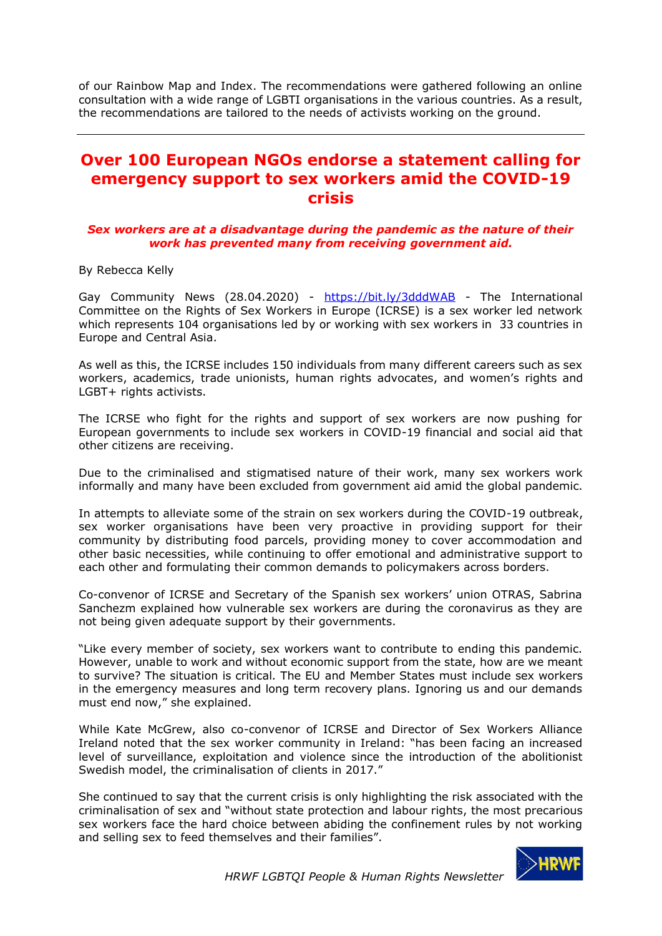of our Rainbow Map and Index. The recommendations were gathered following an online consultation with a wide range of LGBTI organisations in the various countries. As a result, the recommendations are tailored to the needs of activists working on the ground.

## <span id="page-4-0"></span>**Over 100 European NGOs endorse a statement calling for emergency support to sex workers amid the COVID-19 crisis**

#### *Sex workers are at a disadvantage during the pandemic as the nature of their work has prevented many from receiving government aid.*

By Rebecca Kelly

Gay Community News (28.04.2020) - <https://bit.ly/3dddWAB> - The International Committee on the Rights of Sex Workers in Europe (ICRSE) is a sex worker led network which represents 104 organisations led by or working with sex workers in 33 countries in Europe and Central Asia.

As well as this, the ICRSE includes 150 individuals from many different careers such as sex workers, academics, trade unionists, human rights advocates, and women's rights and LGBT+ rights activists.

The ICRSE who fight for the rights and support of sex workers are now pushing for European governments to include sex workers in COVID-19 financial and social aid that other citizens are receiving.

Due to the criminalised and stigmatised nature of their work, many sex workers work informally and many have been excluded from government aid amid the global pandemic.

In attempts to alleviate some of the strain on sex workers during the COVID-19 outbreak, sex worker organisations have been very proactive in providing support for their community by distributing food parcels, providing money to cover accommodation and other basic necessities, while continuing to offer emotional and administrative support to each other and formulating their common demands to policymakers across borders.

Co-convenor of ICRSE and Secretary of the Spanish sex workers' union OTRAS, Sabrina Sanchezm explained how vulnerable sex workers are during the coronavirus as they are not being given adequate support by their governments.

"Like every member of society, sex workers want to contribute to ending this pandemic. However, unable to work and without economic support from the state, how are we meant to survive? The situation is critical. The EU and Member States must include sex workers in the emergency measures and long term recovery plans. Ignoring us and our demands must end now," she explained.

While Kate McGrew, also co-convenor of ICRSE and Director of Sex Workers Alliance Ireland noted that the sex worker community in Ireland: "has been facing an increased level of surveillance, exploitation and violence since the introduction of the abolitionist Swedish model, the criminalisation of clients in 2017."

She continued to say that the current crisis is only highlighting the risk associated with the criminalisation of sex and "without state protection and labour rights, the most precarious sex workers face the hard choice between abiding the confinement rules by not working and selling sex to feed themselves and their families".

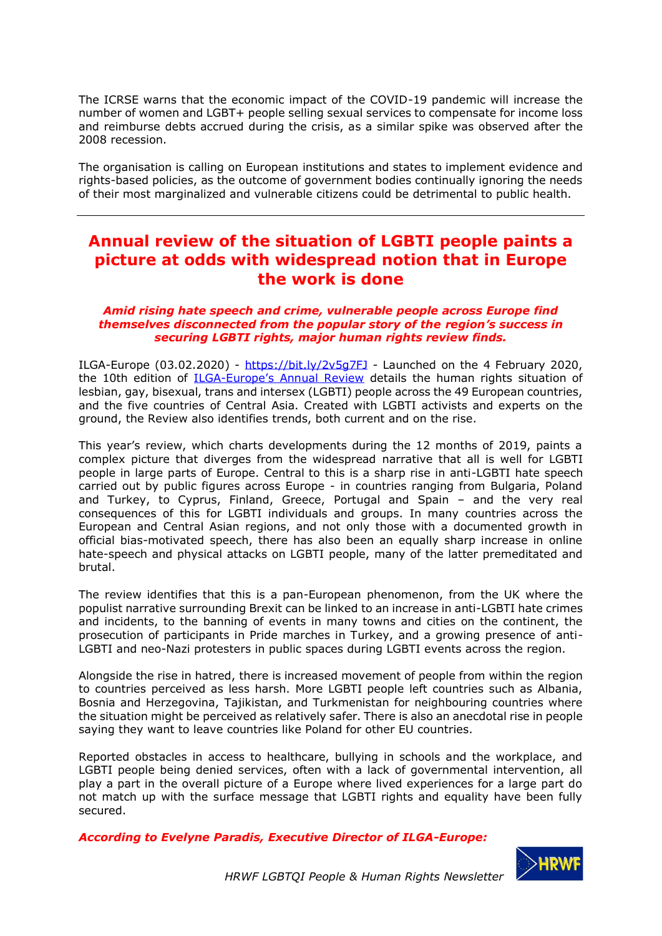The ICRSE warns that the economic impact of the COVID-19 pandemic will increase the number of women and LGBT+ people selling sexual services to compensate for income loss and reimburse debts accrued during the crisis, as a similar spike was observed after the 2008 recession.

The organisation is calling on European institutions and states to implement evidence and rights-based policies, as the outcome of government bodies continually ignoring the needs of their most marginalized and vulnerable citizens could be detrimental to public health.

# <span id="page-5-0"></span>**Annual review of the situation of LGBTI people paints a picture at odds with widespread notion that in Europe the work is done**

#### *Amid rising hate speech and crime, vulnerable people across Europe find themselves disconnected from the popular story of the region's success in securing LGBTI rights, major human rights review finds.*

ILGA-Europe  $(03.02.2020)$  - <https://bit.ly/2v5g7FJ> - Launched on the 4 February 2020, the 10th edition of ILGA-[Europe's Annual Review](https://www.ilga-europe.org/sites/default/files/2020/full_annual_review.pdf) details the human rights situation of lesbian, gay, bisexual, trans and intersex (LGBTI) people across the 49 European countries, and the five countries of Central Asia. Created with LGBTI activists and experts on the ground, the Review also identifies trends, both current and on the rise.

This year's review, which charts developments during the 12 months of 2019, paints a complex picture that diverges from the widespread narrative that all is well for LGBTI people in large parts of Europe. Central to this is a sharp rise in anti-LGBTI hate speech carried out by public figures across Europe - in countries ranging from Bulgaria, Poland and Turkey, to Cyprus, Finland, Greece, Portugal and Spain – and the very real consequences of this for LGBTI individuals and groups. In many countries across the European and Central Asian regions, and not only those with a documented growth in official bias-motivated speech, there has also been an equally sharp increase in online hate-speech and physical attacks on LGBTI people, many of the latter premeditated and brutal.

The review identifies that this is a pan-European phenomenon, from the UK where the populist narrative surrounding Brexit can be linked to an increase in anti-LGBTI hate crimes and incidents, to the banning of events in many towns and cities on the continent, the prosecution of participants in Pride marches in Turkey, and a growing presence of anti-LGBTI and neo-Nazi protesters in public spaces during LGBTI events across the region.

Alongside the rise in hatred, there is increased movement of people from within the region to countries perceived as less harsh. More LGBTI people left countries such as Albania, Bosnia and Herzegovina, Tajikistan, and Turkmenistan for neighbouring countries where the situation might be perceived as relatively safer. There is also an anecdotal rise in people saying they want to leave countries like Poland for other EU countries.

Reported obstacles in access to healthcare, bullying in schools and the workplace, and LGBTI people being denied services, often with a lack of governmental intervention, all play a part in the overall picture of a Europe where lived experiences for a large part do not match up with the surface message that LGBTI rights and equality have been fully secured.

*According to Evelyne Paradis, Executive Director of ILGA-Europe:*